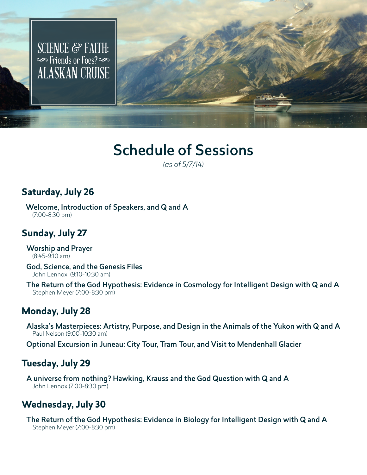

# Schedule of Sessions

*(as of 5/7/14)*

#### **Saturday, July 26**

Welcome, Introduction of Speakers, and Q and A (7:00-8:30 pm)

## **Sunday, July 27**

Worship and Prayer (8:45-9:10 am)

God, Science, and the Genesis Files John Lennox (9:10-10:30 am)

The Return of the God Hypothesis: Evidence in Cosmology for Intelligent Design with Q and A Stephen Meyer (7:00-8:30 pm)

#### **Monday, July 28**

Alaska's Masterpieces: Artistry, Purpose, and Design in the Animals of the Yukon with Q and A Paul Nelson (9:00-10:30 am)

Optional Excursion in Juneau: City Tour, Tram Tour, and Visit to Mendenhall Glacier

### **Tuesday, July 29**

A universe from nothing? Hawking, Krauss and the God Question with Q and A John Lennox (7:00-8:30 pm)

### **Wednesday, July 30**

The Return of the God Hypothesis: Evidence in Biology for Intelligent Design with Q and A Stephen Meyer (7:00-8:30 pm)